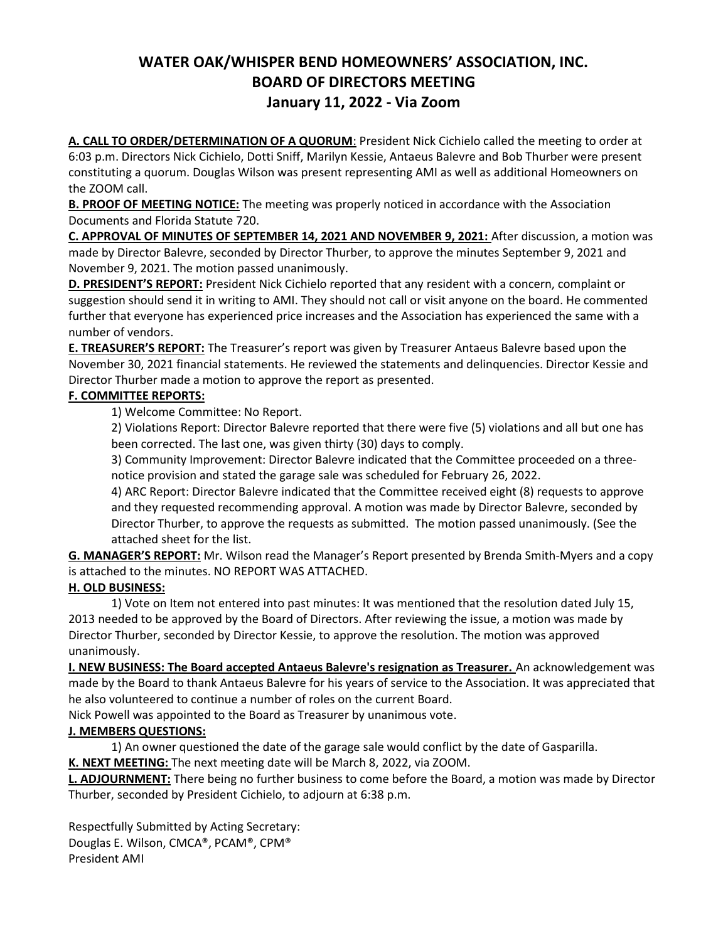## WATER OAK/WHISPER BEND HOMEOWNERS' ASSOCIATION, INC. BOARD OF DIRECTORS MEETING January 11, 2022 - Via Zoom

A. CALL TO ORDER/DETERMINATION OF A QUORUM: President Nick Cichielo called the meeting to order at 6:03 p.m. Directors Nick Cichielo, Dotti Sniff, Marilyn Kessie, Antaeus Balevre and Bob Thurber were present constituting a quorum. Douglas Wilson was present representing AMI as well as additional Homeowners on the ZOOM call.

B. PROOF OF MEETING NOTICE: The meeting was properly noticed in accordance with the Association Documents and Florida Statute 720.

C. APPROVAL OF MINUTES OF SEPTEMBER 14, 2021 AND NOVEMBER 9, 2021: After discussion, a motion was made by Director Balevre, seconded by Director Thurber, to approve the minutes September 9, 2021 and November 9, 2021. The motion passed unanimously.

D. PRESIDENT'S REPORT: President Nick Cichielo reported that any resident with a concern, complaint or suggestion should send it in writing to AMI. They should not call or visit anyone on the board. He commented further that everyone has experienced price increases and the Association has experienced the same with a number of vendors.

E. TREASURER'S REPORT: The Treasurer's report was given by Treasurer Antaeus Balevre based upon the November 30, 2021 financial statements. He reviewed the statements and delinquencies. Director Kessie and Director Thurber made a motion to approve the report as presented.

## F. COMMITTEE REPORTS:

1) Welcome Committee: No Report.

2) Violations Report: Director Balevre reported that there were five (5) violations and all but one has been corrected. The last one, was given thirty (30) days to comply.

3) Community Improvement: Director Balevre indicated that the Committee proceeded on a threenotice provision and stated the garage sale was scheduled for February 26, 2022.

4) ARC Report: Director Balevre indicated that the Committee received eight (8) requests to approve and they requested recommending approval. A motion was made by Director Balevre, seconded by Director Thurber, to approve the requests as submitted. The motion passed unanimously. (See the attached sheet for the list.

G. MANAGER'S REPORT: Mr. Wilson read the Manager's Report presented by Brenda Smith-Myers and a copy is attached to the minutes. NO REPORT WAS ATTACHED.

## H. OLD BUSINESS:

 1) Vote on Item not entered into past minutes: It was mentioned that the resolution dated July 15, 2013 needed to be approved by the Board of Directors. After reviewing the issue, a motion was made by Director Thurber, seconded by Director Kessie, to approve the resolution. The motion was approved unanimously.

I. NEW BUSINESS: The Board accepted Antaeus Balevre's resignation as Treasurer. An acknowledgement was made by the Board to thank Antaeus Balevre for his years of service to the Association. It was appreciated that he also volunteered to continue a number of roles on the current Board.

Nick Powell was appointed to the Board as Treasurer by unanimous vote.

## J. MEMBERS QUESTIONS:

1) An owner questioned the date of the garage sale would conflict by the date of Gasparilla.

K. NEXT MEETING: The next meeting date will be March 8, 2022, via ZOOM.

L. ADJOURNMENT: There being no further business to come before the Board, a motion was made by Director Thurber, seconded by President Cichielo, to adjourn at 6:38 p.m.

Respectfully Submitted by Acting Secretary: Douglas E. Wilson, CMCA®, PCAM®, CPM® President AMI